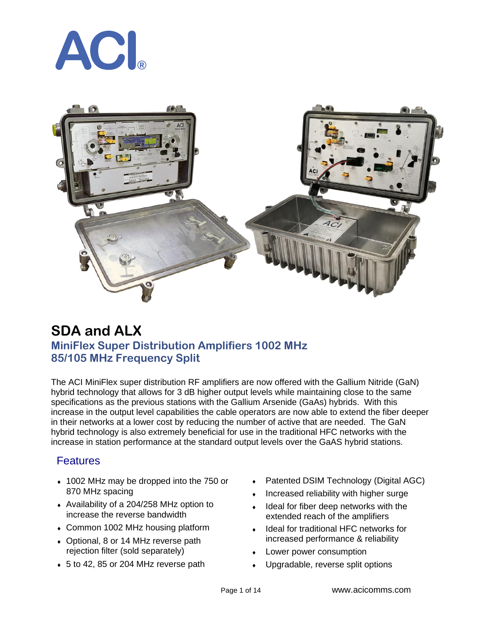



## **SDA and ALX MiniFlex Super Distribution Amplifiers 1002 MHz 85/105 MHz Frequency Split**

The ACI MiniFlex super distribution RF amplifiers are now offered with the Gallium Nitride (GaN) hybrid technology that allows for 3 dB higher output levels while maintaining close to the same specifications as the previous stations with the Gallium Arsenide (GaAs) hybrids. With this increase in the output level capabilities the cable operators are now able to extend the fiber deeper in their networks at a lower cost by reducing the number of active that are needed. The GaN hybrid technology is also extremely beneficial for use in the traditional HFC networks with the increase in station performance at the standard output levels over the GaAS hybrid stations.

#### **Features**

- 1002 MHz may be dropped into the 750 or 870 MHz spacing
- Availability of a 204/258 MHz option to increase the reverse bandwidth
- Common 1002 MHz housing platform
- Optional, 8 or 14 MHz reverse path rejection filter (sold separately)
- 5 to 42, 85 or 204 MHz reverse path
- Patented DSIM Technology (Digital AGC)
- Increased reliability with higher surge
- Ideal for fiber deep networks with the extended reach of the amplifiers
- Ideal for traditional HFC networks for increased performance & reliability
- Lower power consumption
- Upgradable, reverse split options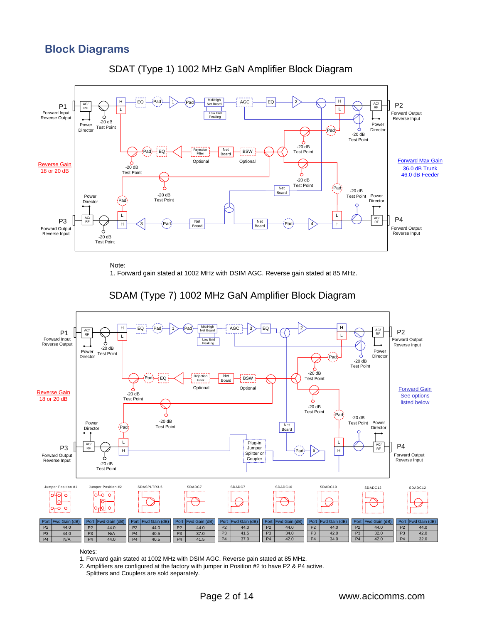### **Block Diagrams**





Note:

1. Forward gain stated at 1002 MHz with DSIM AGC. Reverse gain stated at 85 MHz.



#### SDAM (Type 7) 1002 MHz GaN Amplifier Block Diagram

Notes:

1. Forward gain stated at 1002 MHz with DSIM AGC. Reverse gain stated at 85 MHz.

2. Amplifiers are configured at the factory with jumper in Position #2 to have P2 & P4 active.

Splitters and Couplers are sold separately.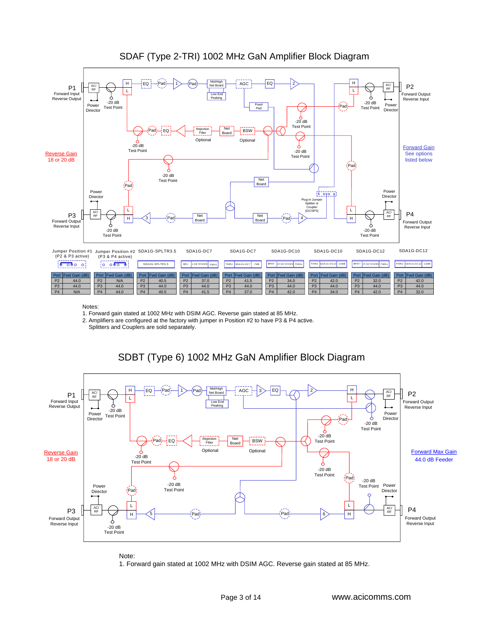

#### SDAF (Type 2-TRI) 1002 MHz GaN Amplifier Block Diagram

Notes:

1. Forward gain stated at 1002 MHz with DSIM AGC. Reverse gain stated at 85 MHz.

2. Amplifiers are configured at the factory with jumper in Position #2 to have P3 & P4 active.

Splitters and Couplers are sold separately.



#### SDBT (Type 6) 1002 MHz GaN Amplifier Block Diagram

Note:

1. Forward gain stated at 1002 MHz with DSIM AGC. Reverse gain stated at 85 MHz.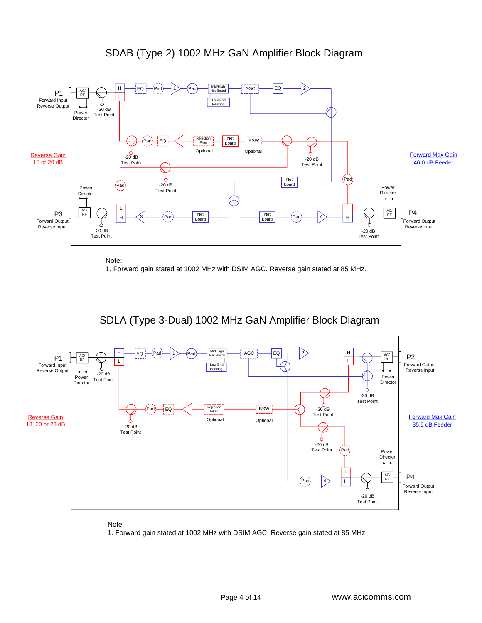

#### SDAB (Type 2) 1002 MHz GaN Amplifier Block Diagram

Note:

1. Forward gain stated at 1002 MHz with DSIM AGC. Reverse gain stated at 85 MHz.





Note:

1. Forward gain stated at 1002 MHz with DSIM AGC. Reverse gain stated at 85 MHz.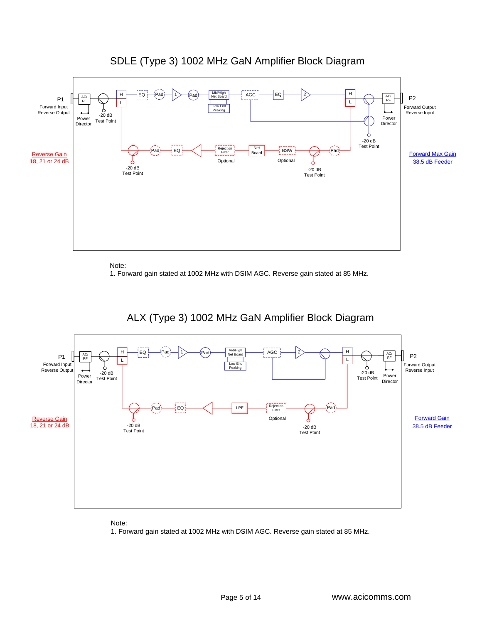

#### SDLE (Type 3) 1002 MHz GaN Amplifier Block Diagram

Note:

1. Forward gain stated at 1002 MHz with DSIM AGC. Reverse gain stated at 85 MHz.



### ALX (Type 3) 1002 MHz GaN Amplifier Block Diagram

Note:

1. Forward gain stated at 1002 MHz with DSIM AGC. Reverse gain stated at 85 MHz.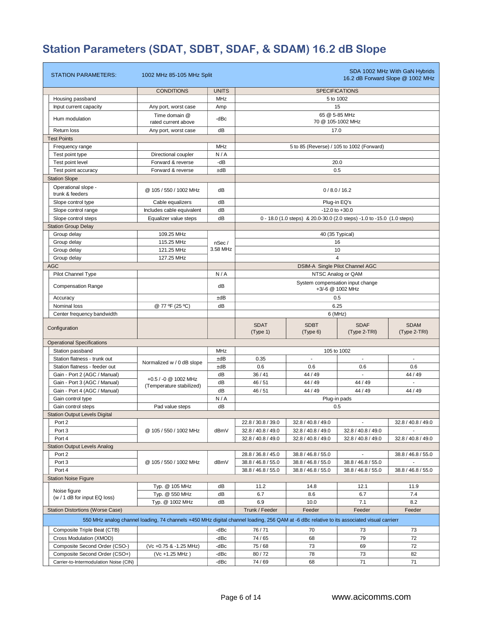# **Station Parameters (SDAT, SDBT, SDAF, & SDAM) 16.2 dB Slope**

| <b>STATION PARAMETERS:</b>              | 1002 MHz 85-105 MHz Split                                                                                                                  |              |                                                      |                                                                        |                                 | SDA 1002 MHz With GaN Hybrids<br>16.2 dB Forward Slope @ 1002 MHz |  |  |  |
|-----------------------------------------|--------------------------------------------------------------------------------------------------------------------------------------------|--------------|------------------------------------------------------|------------------------------------------------------------------------|---------------------------------|-------------------------------------------------------------------|--|--|--|
|                                         | <b>CONDITIONS</b>                                                                                                                          | <b>UNITS</b> |                                                      |                                                                        | <b>SPECIFICATIONS</b>           |                                                                   |  |  |  |
| Housing passband                        |                                                                                                                                            | <b>MHz</b>   |                                                      |                                                                        | 5 to 1002                       |                                                                   |  |  |  |
| Input current capacity                  | Any port, worst case                                                                                                                       | Amp          |                                                      |                                                                        | 15                              |                                                                   |  |  |  |
| Hum modulation                          | Time domain @<br>rated current above                                                                                                       | -dBc         | 65 @ 5-85 MHz<br>70 @ 105-1002 MHz                   |                                                                        |                                 |                                                                   |  |  |  |
| Return loss                             | Any port, worst case                                                                                                                       | dB           |                                                      | 17.0                                                                   |                                 |                                                                   |  |  |  |
| <b>Test Points</b>                      |                                                                                                                                            |              |                                                      |                                                                        |                                 |                                                                   |  |  |  |
| Frequency range                         |                                                                                                                                            | MHz          |                                                      | 5 to 85 (Reverse) / 105 to 1002 (Forward)                              |                                 |                                                                   |  |  |  |
| Test point type                         | Directional coupler                                                                                                                        | N/A          |                                                      |                                                                        |                                 |                                                                   |  |  |  |
| Test point level                        | Forward & reverse                                                                                                                          | -dB          |                                                      |                                                                        | 20.0                            |                                                                   |  |  |  |
| Test point accuracy                     | Forward & reverse                                                                                                                          | ±dB          |                                                      |                                                                        | 0.5                             |                                                                   |  |  |  |
| <b>Station Slope</b>                    |                                                                                                                                            |              |                                                      |                                                                        |                                 |                                                                   |  |  |  |
| Operational slope -                     |                                                                                                                                            |              |                                                      |                                                                        |                                 |                                                                   |  |  |  |
| trunk & feeders                         | @ 105 / 550 / 1002 MHz                                                                                                                     | dB           |                                                      |                                                                        | 0/8.0/16.2                      |                                                                   |  |  |  |
| Slope control type                      | Cable equalizers                                                                                                                           | dB           |                                                      |                                                                        | Plug-in EQ's                    |                                                                   |  |  |  |
| Slope control range                     | Includes cable equivalent                                                                                                                  | dB           |                                                      |                                                                        | $-12.0$ to $+30.0$              |                                                                   |  |  |  |
| Slope control steps                     | Equalizer value steps                                                                                                                      | dB           |                                                      | 0 - 18.0 (1.0 steps) & 20.0-30.0 (2.0 steps) -1.0 to -15.0 (1.0 steps) |                                 |                                                                   |  |  |  |
| <b>Station Group Delay</b>              |                                                                                                                                            |              |                                                      |                                                                        |                                 |                                                                   |  |  |  |
| Group delay                             | 109.25 MHz                                                                                                                                 |              |                                                      |                                                                        | 40 (35 Typical)                 |                                                                   |  |  |  |
| Group delay                             | 115.25 MHz                                                                                                                                 | nSec/        |                                                      |                                                                        | 16                              |                                                                   |  |  |  |
| Group delay                             | 121.25 MHz                                                                                                                                 | 3.58 MHz     |                                                      |                                                                        | 10                              |                                                                   |  |  |  |
| Group delay                             | 127.25 MHz                                                                                                                                 |              |                                                      |                                                                        | $\overline{4}$                  |                                                                   |  |  |  |
| <b>AGC</b>                              |                                                                                                                                            |              |                                                      |                                                                        | DSIM-A Single Pilot Channel AGC |                                                                   |  |  |  |
| Pilot Channel Type                      |                                                                                                                                            | N/A          |                                                      |                                                                        |                                 |                                                                   |  |  |  |
| <b>Compensation Range</b>               |                                                                                                                                            | dB           | System compensation input change<br>+3/-6 @ 1002 MHz |                                                                        |                                 |                                                                   |  |  |  |
| Accuracy                                |                                                                                                                                            | ±dB          | 0.5                                                  |                                                                        |                                 |                                                                   |  |  |  |
| Nominal loss                            | @ 77 ºF (25 °C)                                                                                                                            | dB           | 6.25                                                 |                                                                        |                                 |                                                                   |  |  |  |
| Center frequency bandwidth              |                                                                                                                                            |              | $6$ (MHz)                                            |                                                                        |                                 |                                                                   |  |  |  |
| Configuration                           |                                                                                                                                            |              | <b>SDAT</b><br>(Type 1)                              | <b>SDBT</b><br>(Type 6)                                                | <b>SDAF</b><br>(Type 2-TRI)     | <b>SDAM</b><br>(Type 2-TRI)                                       |  |  |  |
| <b>Operational Specifications</b>       |                                                                                                                                            |              |                                                      |                                                                        |                                 |                                                                   |  |  |  |
| Station passband                        |                                                                                                                                            | MHz          |                                                      |                                                                        | 105 to 1002                     |                                                                   |  |  |  |
| Station flatness - trunk out            |                                                                                                                                            | ±dB          | 0.35                                                 | $\blacksquare$                                                         | $\overline{\phantom{a}}$        | $\blacksquare$                                                    |  |  |  |
| Station flatness - feeder out           | Normalized w / 0 dB slope                                                                                                                  | ±dB          | 0.6                                                  | 0.6                                                                    | 0.6                             | 0.6                                                               |  |  |  |
| Gain - Port 2 (AGC / Manual)            |                                                                                                                                            | dB           | 36/41                                                | 44 / 49                                                                |                                 | 44/49                                                             |  |  |  |
| Gain - Port 3 (AGC / Manual)            | +0.5 / -0 @ 1002 MHz<br>(Temperature stabilized)                                                                                           | dB           | 46 / 51                                              | 44 / 49                                                                | 44 / 49                         |                                                                   |  |  |  |
| Gain - Port 4 (AGC / Manual)            |                                                                                                                                            | dB           | 46 / 51                                              | 44 / 49                                                                | 44 / 49                         | 44 / 49                                                           |  |  |  |
| Gain control type                       |                                                                                                                                            | N/A          |                                                      |                                                                        | Plug-in pads                    |                                                                   |  |  |  |
| Gain control steps                      | Pad value steps                                                                                                                            | dB           |                                                      |                                                                        | 0.5                             |                                                                   |  |  |  |
| <b>Station Output Levels Digital</b>    |                                                                                                                                            |              |                                                      |                                                                        |                                 |                                                                   |  |  |  |
| Port 2                                  |                                                                                                                                            |              | 22.8 / 30.8 / 39.0                                   | 32.8 / 40.8 / 49.0                                                     | $\blacksquare$                  | 32.8 / 40.8 / 49.0                                                |  |  |  |
| Port 3                                  | @ 105 / 550 / 1002 MHz                                                                                                                     | dBmV         | 32.8 / 40.8 / 49.0                                   | 32.8 / 40.8 / 49.0                                                     | 32.8 / 40.8 / 49.0              |                                                                   |  |  |  |
| Port 4                                  |                                                                                                                                            |              | 32.8 / 40.8 / 49.0                                   | 32.8 / 40.8 / 49.0                                                     | 32.8 / 40.8 / 49.0              | 32.8 / 40.8 / 49.0                                                |  |  |  |
| <b>Station Output Levels Analog</b>     |                                                                                                                                            |              |                                                      |                                                                        |                                 |                                                                   |  |  |  |
| Port 2                                  |                                                                                                                                            |              | 28.8 / 36.8 / 45.0                                   | 38.8 / 46.8 / 55.0                                                     |                                 | 38.8 / 46.8 / 55.0                                                |  |  |  |
| Port 3                                  | @ 105 / 550 / 1002 MHz                                                                                                                     | dBmV         | 38.8 / 46.8 / 55.0                                   | 38.8 / 46.8 / 55.0                                                     | 38.8 / 46.8 / 55.0              |                                                                   |  |  |  |
| Port 4                                  |                                                                                                                                            |              | 38.8 / 46.8 / 55.0                                   | 38.8 / 46.8 / 55.0                                                     | 38.8 / 46.8 / 55.0              | 38.8 / 46.8 / 55.0                                                |  |  |  |
| <b>Station Noise Figure</b>             |                                                                                                                                            |              |                                                      |                                                                        |                                 |                                                                   |  |  |  |
|                                         | Typ. @ 105 MHz                                                                                                                             | dB           | 11.2                                                 | 14.8                                                                   | 12.1                            | 11.9                                                              |  |  |  |
| Noise figure                            | Typ. @ 550 MHz                                                                                                                             | dB           | 6.7                                                  | 8.6                                                                    | 6.7                             | 7.4                                                               |  |  |  |
| (w / 1 dB for input EQ loss)            | Typ. @ 1002 MHz                                                                                                                            | dB           | 6.9                                                  | 10.0                                                                   | 7.1                             | 8.2                                                               |  |  |  |
| <b>Station Distortions (Worse Case)</b> |                                                                                                                                            |              | Trunk / Feeder                                       | Feeder                                                                 | Feeder                          | Feeder                                                            |  |  |  |
|                                         | 550 MHz analog channel loading, 74 channels +450 MHz digital channel loading, 256 QAM at -6 dBc relative to its associated visual carrierr |              |                                                      |                                                                        |                                 |                                                                   |  |  |  |
| Composite Triple Beat (CTB)             |                                                                                                                                            | -dBc         | 76/71                                                | 70                                                                     | 73                              | 73                                                                |  |  |  |
| Cross Modulation (XMOD)                 |                                                                                                                                            | -dBc         | 74/65                                                | 68                                                                     | 79                              | 72                                                                |  |  |  |
| Composite Second Order (CSO-)           | (Vc +0.75 & -1.25 MHz)                                                                                                                     | -dBc         | 75/68                                                | 73                                                                     | 69                              | 72                                                                |  |  |  |
| Composite Second Order (CSO+)           | (Vc +1.25 MHz)                                                                                                                             | -dBc         | 80/72                                                | 78                                                                     | 73                              | 82                                                                |  |  |  |
| Carrier-to-Intermodulation Noise (CIN)  |                                                                                                                                            | -dBc         | 74/69                                                | 68                                                                     | 71                              | 71                                                                |  |  |  |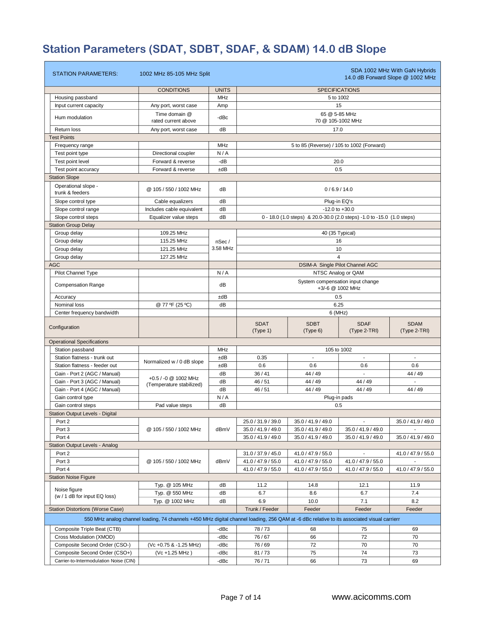# **Station Parameters (SDAT, SDBT, SDAF, & SDAM) 14.0 dB Slope**

| <b>STATION PARAMETERS:</b>              | 1002 MHz 85-105 MHz Split                                                                                                                  |              |                                                      |                                                                        |                                 | SDA 1002 MHz With GaN Hybrids<br>14.0 dB Forward Slope @ 1002 MHz |  |  |  |
|-----------------------------------------|--------------------------------------------------------------------------------------------------------------------------------------------|--------------|------------------------------------------------------|------------------------------------------------------------------------|---------------------------------|-------------------------------------------------------------------|--|--|--|
|                                         | <b>CONDITIONS</b>                                                                                                                          | <b>UNITS</b> |                                                      |                                                                        | <b>SPECIFICATIONS</b>           |                                                                   |  |  |  |
| Housing passband                        |                                                                                                                                            | MHz          | 5 to 1002                                            |                                                                        |                                 |                                                                   |  |  |  |
| Input current capacity                  | Any port, worst case                                                                                                                       | Amp          |                                                      |                                                                        | 15                              |                                                                   |  |  |  |
| Hum modulation                          | Time domain @<br>rated current above                                                                                                       | -dBc         | 65 @ 5-85 MHz<br>70 @ 105-1002 MHz                   |                                                                        |                                 |                                                                   |  |  |  |
| Return loss                             | Any port, worst case                                                                                                                       | dB           |                                                      | 17.0                                                                   |                                 |                                                                   |  |  |  |
| <b>Test Points</b>                      |                                                                                                                                            |              |                                                      |                                                                        |                                 |                                                                   |  |  |  |
| Frequency range                         |                                                                                                                                            | MHz          |                                                      | 5 to 85 (Reverse) / 105 to 1002 (Forward)                              |                                 |                                                                   |  |  |  |
| Test point type                         | Directional coupler                                                                                                                        | N/A          |                                                      |                                                                        |                                 |                                                                   |  |  |  |
| Test point level                        | Forward & reverse                                                                                                                          | -dB          |                                                      |                                                                        | 20.0                            |                                                                   |  |  |  |
| Test point accuracy                     | Forward & reverse                                                                                                                          | ±dB          |                                                      |                                                                        | 0.5                             |                                                                   |  |  |  |
| <b>Station Slope</b>                    |                                                                                                                                            |              |                                                      |                                                                        |                                 |                                                                   |  |  |  |
| Operational slope -<br>trunk & feeders  | @ 105 / 550 / 1002 MHz                                                                                                                     | dB           |                                                      |                                                                        | 0/6.9/14.0                      |                                                                   |  |  |  |
|                                         |                                                                                                                                            |              |                                                      |                                                                        |                                 |                                                                   |  |  |  |
| Slope control type                      | Cable equalizers                                                                                                                           | dB           |                                                      |                                                                        | Plug-in EQ's                    |                                                                   |  |  |  |
| Slope control range                     | Includes cable equivalent                                                                                                                  | dB           |                                                      |                                                                        | $-12.0$ to $+30.0$              |                                                                   |  |  |  |
| Slope control steps                     | Equalizer value steps                                                                                                                      | dB           |                                                      | 0 - 18.0 (1.0 steps) & 20.0-30.0 (2.0 steps) -1.0 to -15.0 (1.0 steps) |                                 |                                                                   |  |  |  |
| <b>Station Group Delay</b>              |                                                                                                                                            |              |                                                      |                                                                        |                                 |                                                                   |  |  |  |
| Group delay                             | 109.25 MHz                                                                                                                                 |              |                                                      |                                                                        | 40 (35 Typical)                 |                                                                   |  |  |  |
| Group delay                             | 115.25 MHz                                                                                                                                 | nSec/        |                                                      |                                                                        | 16                              |                                                                   |  |  |  |
| Group delay                             | 121.25 MHz                                                                                                                                 | 3.58 MHz     |                                                      |                                                                        | 10                              |                                                                   |  |  |  |
| Group delay                             | 127.25 MHz                                                                                                                                 |              |                                                      |                                                                        | $\overline{\mathbf{A}}$         |                                                                   |  |  |  |
| <b>AGC</b>                              |                                                                                                                                            |              |                                                      |                                                                        | DSIM-A Single Pilot Channel AGC |                                                                   |  |  |  |
| Pilot Channel Type                      |                                                                                                                                            | N/A          |                                                      |                                                                        | NTSC Analog or QAM              |                                                                   |  |  |  |
| <b>Compensation Range</b>               |                                                                                                                                            | dB           | System compensation input change<br>+3/-6 @ 1002 MHz |                                                                        |                                 |                                                                   |  |  |  |
| Accuracy                                |                                                                                                                                            | ±dB          | 0.5                                                  |                                                                        |                                 |                                                                   |  |  |  |
| Nominal loss                            | @ 77 °F (25 °C)                                                                                                                            | dB           | 6.25                                                 |                                                                        |                                 |                                                                   |  |  |  |
| Center frequency bandwidth              |                                                                                                                                            |              | $6$ (MHz)                                            |                                                                        |                                 |                                                                   |  |  |  |
| Configuration                           |                                                                                                                                            |              | <b>SDAT</b><br>(Type 1)                              | <b>SDBT</b><br>(Type 6)                                                | <b>SDAF</b><br>(Type 2-TRI)     | <b>SDAM</b><br>(Type 2-TRI)                                       |  |  |  |
| <b>Operational Specifications</b>       |                                                                                                                                            |              |                                                      |                                                                        |                                 |                                                                   |  |  |  |
| Station passband                        |                                                                                                                                            | MHz          |                                                      |                                                                        | 105 to 1002                     |                                                                   |  |  |  |
| Station flatness - trunk out            |                                                                                                                                            | ±dB          | 0.35                                                 | ÷                                                                      | $\sim$                          | ÷.                                                                |  |  |  |
| Station flatness - feeder out           | Normalized w / 0 dB slope                                                                                                                  | ±dB          | 0.6                                                  | 0.6                                                                    | 0.6                             | 0.6                                                               |  |  |  |
| Gain - Port 2 (AGC / Manual)            |                                                                                                                                            | dB           | 36/41                                                | 44 / 49                                                                | $\mathcal{L}$                   | 44 / 49                                                           |  |  |  |
| Gain - Port 3 (AGC / Manual)            | +0.5 / -0 @ 1002 MHz                                                                                                                       | dB           | 46 / 51                                              | 44 / 49                                                                | 44 / 49                         |                                                                   |  |  |  |
| Gain - Port 4 (AGC / Manual)            | (Temperature stabilized)                                                                                                                   | dB           | 46 / 51                                              | 44 / 49                                                                | 44 / 49                         | 44 / 49                                                           |  |  |  |
| Gain control type                       |                                                                                                                                            | N/A          | Plug-in pads                                         |                                                                        |                                 |                                                                   |  |  |  |
| Gain control steps                      | Pad value steps                                                                                                                            | dB           |                                                      |                                                                        | 0.5                             |                                                                   |  |  |  |
| <b>Station Output Levels - Digital</b>  |                                                                                                                                            |              |                                                      |                                                                        |                                 |                                                                   |  |  |  |
| Port 2                                  |                                                                                                                                            |              | 25.0 / 31.9 / 39.0                                   | 35.0 / 41.9 / 49.0                                                     | $\blacksquare$                  | 35.0 / 41.9 / 49.0                                                |  |  |  |
| Port 3                                  | @ 105 / 550 / 1002 MHz                                                                                                                     | dBmV         | 35.0 / 41.9 / 49.0                                   | 35.0 / 41.9 / 49.0                                                     | 35.0 / 41.9 / 49.0              |                                                                   |  |  |  |
| Port 4                                  |                                                                                                                                            |              | 35.0 / 41.9 / 49.0                                   | 35.0 / 41.9 / 49.0                                                     | 35.0 / 41.9 / 49.0              | 35.0 / 41.9 / 49.0                                                |  |  |  |
| <b>Station Output Levels - Analog</b>   |                                                                                                                                            |              |                                                      |                                                                        |                                 |                                                                   |  |  |  |
| Port 2                                  |                                                                                                                                            |              | 31.0 / 37.9 / 45.0                                   | 41.0 / 47.9 / 55.0                                                     | $\blacksquare$                  | 41.0 / 47.9 / 55.0                                                |  |  |  |
| Port 3                                  | @ 105 / 550 / 1002 MHz                                                                                                                     | dBmV         | 41.0 / 47.9 / 55.0                                   | 41.0 / 47.9 / 55.0                                                     | 41.0 / 47.9 / 55.0              | $\sim$                                                            |  |  |  |
| Port 4                                  |                                                                                                                                            |              | 41.0 / 47.9 / 55.0                                   | 41.0 / 47.9 / 55.0                                                     | 41.0 / 47.9 / 55.0              | 41.0 / 47.9 / 55.0                                                |  |  |  |
| <b>Station Noise Figure</b>             |                                                                                                                                            |              |                                                      |                                                                        |                                 |                                                                   |  |  |  |
|                                         | Typ. @ 105 MHz                                                                                                                             | dB           | 11.2                                                 | 14.8                                                                   | 12.1                            | 11.9                                                              |  |  |  |
| Noise figure                            | Typ. @ 550 MHz                                                                                                                             | dB           | 6.7                                                  | 8.6                                                                    | 6.7                             | 7.4                                                               |  |  |  |
| (w / 1 dB for input EQ loss)            | Typ. @ 1002 MHz                                                                                                                            | dB           | 6.9                                                  | 10.0                                                                   | 7.1                             | 8.2                                                               |  |  |  |
| <b>Station Distortions (Worse Case)</b> |                                                                                                                                            |              | Trunk / Feeder                                       | Feeder                                                                 | Feeder                          | Feeder                                                            |  |  |  |
|                                         | 550 MHz analog channel loading, 74 channels +450 MHz digital channel loading, 256 QAM at -6 dBc relative to its associated visual carrierr |              |                                                      |                                                                        |                                 |                                                                   |  |  |  |
| Composite Triple Beat (CTB)             |                                                                                                                                            | -dBc         | 78/73                                                | 68                                                                     | 75                              | 69                                                                |  |  |  |
| Cross Modulation (XMOD)                 |                                                                                                                                            | -dBc         | 76/67                                                | 66                                                                     | 72                              | 70                                                                |  |  |  |
| Composite Second Order (CSO-)           | (Vc +0.75 & -1.25 MHz)                                                                                                                     | -dBc         | 76 / 69                                              | 72                                                                     | 70                              | 70                                                                |  |  |  |
| Composite Second Order (CSO+)           | (Vc +1.25 MHz)                                                                                                                             | -dBc         | 81/73                                                | 75                                                                     | 74                              | 73                                                                |  |  |  |
| Carrier-to-Intermodulation Noise (CIN)  |                                                                                                                                            | -dBc         | 76/71                                                | 66                                                                     | 73                              | 69                                                                |  |  |  |
|                                         |                                                                                                                                            |              |                                                      |                                                                        |                                 |                                                                   |  |  |  |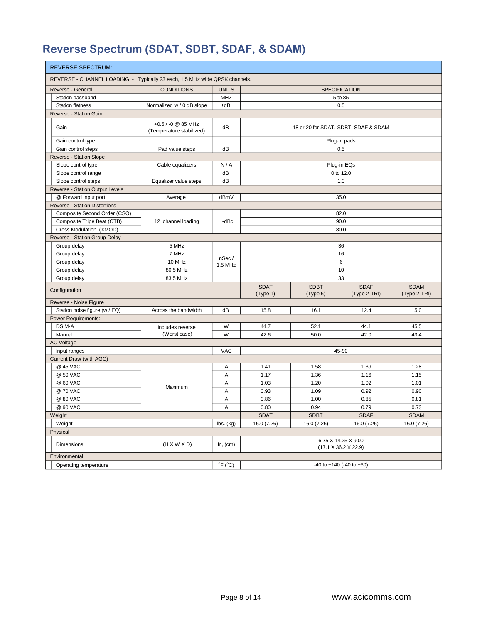# **Reverse Spectrum (SDAT, SDBT, SDAF, & SDAM)**

| <b>REVERSE SPECTRUM:</b>                                                   |                                                |                                         |                         |                                  |                                      |                             |  |  |  |
|----------------------------------------------------------------------------|------------------------------------------------|-----------------------------------------|-------------------------|----------------------------------|--------------------------------------|-----------------------------|--|--|--|
| REVERSE - CHANNEL LOADING - Typically 23 each, 1.5 MHz wide QPSK channels. |                                                |                                         |                         |                                  |                                      |                             |  |  |  |
| Reverse - General                                                          | <b>CONDITIONS</b>                              | <b>UNITS</b>                            |                         | <b>SPECIFICATION</b>             |                                      |                             |  |  |  |
| Station passband                                                           |                                                | MHZ                                     |                         |                                  | 5 to 85                              |                             |  |  |  |
| <b>Station flatness</b>                                                    | Normalized w / 0 dB slope                      | ±dB                                     |                         |                                  | 0.5                                  |                             |  |  |  |
| Reverse - Station Gain                                                     |                                                |                                         |                         |                                  |                                      |                             |  |  |  |
| Gain                                                                       | +0.5 / -0 @ 85 MHz<br>(Temperature stabilized) | dB                                      |                         |                                  | 18 or 20 for SDAT, SDBT, SDAF & SDAM |                             |  |  |  |
| Gain control type                                                          |                                                |                                         |                         |                                  | Plug-in pads                         |                             |  |  |  |
| Gain control steps                                                         | Pad value steps                                | dB                                      |                         |                                  | 0.5                                  |                             |  |  |  |
| Reverse - Station Slope                                                    |                                                |                                         |                         |                                  |                                      |                             |  |  |  |
| Slope control type                                                         | Cable equalizers                               | N/A                                     |                         |                                  | Plug-in EQs                          |                             |  |  |  |
| Slope control range                                                        |                                                | dB                                      |                         |                                  | 0 to 12.0                            |                             |  |  |  |
| Slope control steps                                                        | Equalizer value steps                          | dB                                      |                         |                                  | 1.0                                  |                             |  |  |  |
| Reverse - Station Output Levels                                            |                                                |                                         |                         |                                  |                                      |                             |  |  |  |
| @ Forward input port                                                       | Average                                        | dBmV                                    |                         |                                  | 35.0                                 |                             |  |  |  |
| <b>Reverse - Station Distortions</b>                                       |                                                |                                         |                         |                                  |                                      |                             |  |  |  |
| Composite Second Order (CSO)                                               |                                                |                                         |                         |                                  | 82.0                                 |                             |  |  |  |
| Composite Tripe Beat (CTB)                                                 | 12 channel loading                             | -dBc                                    |                         |                                  | 90.0                                 |                             |  |  |  |
| Cross Modulation (XMOD)                                                    |                                                |                                         |                         |                                  |                                      |                             |  |  |  |
| 80.0<br>Reverse - Station Group Delay                                      |                                                |                                         |                         |                                  |                                      |                             |  |  |  |
| Group delay<br>5 MHz<br>36                                                 |                                                |                                         |                         |                                  |                                      |                             |  |  |  |
| Group delay                                                                | 7 MHz                                          |                                         | 16                      |                                  |                                      |                             |  |  |  |
| Group delay                                                                | 10 MHz                                         | nSec/                                   |                         |                                  | $6\phantom{1}6$                      |                             |  |  |  |
| Group delay                                                                | 80.5 MHz                                       | 1.5 MHz                                 |                         |                                  | 10                                   |                             |  |  |  |
| Group delay                                                                | 83.5 MHz                                       |                                         | 33                      |                                  |                                      |                             |  |  |  |
|                                                                            |                                                |                                         |                         |                                  |                                      |                             |  |  |  |
| Configuration                                                              |                                                |                                         | <b>SDAT</b><br>(Type 1) | <b>SDBT</b><br>(Type 6)          | <b>SDAF</b><br>(Type 2-TRI)          | <b>SDAM</b><br>(Type 2-TRI) |  |  |  |
| Reverse - Noise Figure                                                     |                                                |                                         |                         |                                  |                                      |                             |  |  |  |
| Station noise figure (w / EQ)                                              | Across the bandwidth                           | dB                                      | 15.8                    | 16.1                             | 12.4                                 | 15.0                        |  |  |  |
| <b>Power Requirements:</b>                                                 |                                                |                                         |                         |                                  |                                      |                             |  |  |  |
| <b>DSIM-A</b>                                                              | Includes reverse                               | W                                       | 44.7                    | 52.1                             | 44.1                                 | 45.5                        |  |  |  |
| Manual                                                                     | (Worst case)                                   | W                                       | 42.6                    | 50.0                             | 42.0                                 | 43.4                        |  |  |  |
| <b>AC Voltage</b>                                                          |                                                |                                         |                         |                                  |                                      |                             |  |  |  |
| Input ranges                                                               |                                                | <b>VAC</b>                              |                         |                                  | 45-90                                |                             |  |  |  |
| Current Draw (with AGC)                                                    |                                                |                                         |                         |                                  |                                      |                             |  |  |  |
| @ 45 VAC                                                                   |                                                | Α                                       | 1.41                    | 1.58                             | 1.39                                 | 1.28                        |  |  |  |
| @ 50 VAC                                                                   |                                                | A                                       | 1.17                    | 1.36                             | 1.16                                 | 1.15                        |  |  |  |
| @ 60 VAC                                                                   | Maximum                                        | A                                       | 1.03                    | 1.20                             | 1.02                                 | 1.01                        |  |  |  |
| @ 70 VAC                                                                   |                                                | $\overline{A}$                          | 0.93                    | 1.09                             | 0.92                                 | 0.90                        |  |  |  |
| @ 80 VAC                                                                   |                                                | A                                       | 0.86                    | 1.00                             | 0.85                                 | 0.81                        |  |  |  |
| @ 90 VAC                                                                   |                                                | A                                       | 0.80                    | 0.94                             | 0.79                                 | 0.73                        |  |  |  |
| Weight                                                                     |                                                |                                         | <b>SDAT</b>             | <b>SDBT</b>                      | <b>SDAF</b>                          | <b>SDAM</b>                 |  |  |  |
| Weight                                                                     |                                                | $\mathsf{lbs.}\left(\mathsf{kg}\right)$ | 16.0 (7.26)             | 16.0 (7.26)                      | 16.0 (7.26)                          | 16.0 (7.26)                 |  |  |  |
| Physical                                                                   |                                                |                                         |                         |                                  |                                      |                             |  |  |  |
| <b>Dimensions</b>                                                          | $(H \times W \times D)$                        | In, (cm)                                |                         | $(17.1 \times 36.2 \times 22.9)$ | 6.75 X 14.25 X 9.00                  |                             |  |  |  |
| Environmental                                                              |                                                |                                         |                         |                                  |                                      |                             |  |  |  |
| Operating temperature                                                      |                                                | $^{\circ}$ F ( $^{\circ}$ C)            |                         |                                  | $-40$ to $+140$ ( $-40$ to $+60$ )   |                             |  |  |  |
|                                                                            |                                                |                                         |                         |                                  |                                      |                             |  |  |  |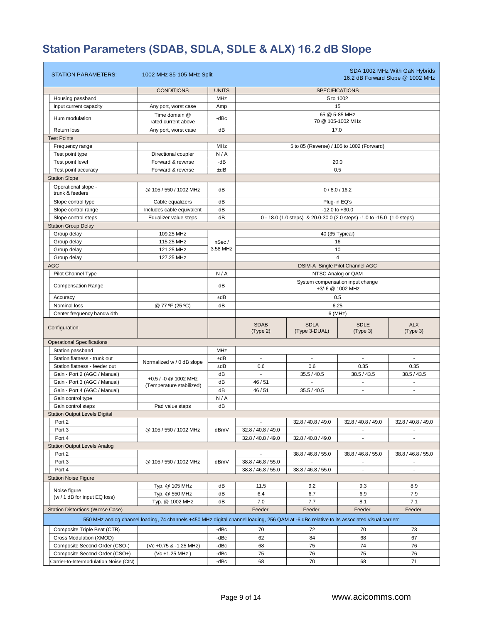# **Station Parameters (SDAB, SDLA, SDLE & ALX) 16.2 dB Slope**

| <b>STATION PARAMETERS:</b>                                              | 1002 MHz 85-105 MHz Split                                                                                                                  |              |                                                      |                              |                                                                        | SDA 1002 MHz With GaN Hybrids<br>16.2 dB Forward Slope @ 1002 MHz |  |  |  |
|-------------------------------------------------------------------------|--------------------------------------------------------------------------------------------------------------------------------------------|--------------|------------------------------------------------------|------------------------------|------------------------------------------------------------------------|-------------------------------------------------------------------|--|--|--|
|                                                                         | <b>CONDITIONS</b>                                                                                                                          | <b>UNITS</b> |                                                      |                              | <b>SPECIFICATIONS</b>                                                  |                                                                   |  |  |  |
| Housing passband                                                        |                                                                                                                                            | MHz          |                                                      |                              | 5 to 1002                                                              |                                                                   |  |  |  |
| Input current capacity                                                  | Any port, worst case                                                                                                                       | Amp          |                                                      |                              | 15                                                                     |                                                                   |  |  |  |
| Hum modulation                                                          | Time domain @<br>rated current above                                                                                                       | -dBc         |                                                      |                              | 65 @ 5-85 MHz<br>70 @ 105-1002 MHz                                     |                                                                   |  |  |  |
| Return loss                                                             | Any port, worst case                                                                                                                       | dB           |                                                      | 17.0                         |                                                                        |                                                                   |  |  |  |
| <b>Test Points</b>                                                      |                                                                                                                                            |              |                                                      |                              |                                                                        |                                                                   |  |  |  |
| Frequency range                                                         |                                                                                                                                            | MHz          |                                                      |                              | 5 to 85 (Reverse) / 105 to 1002 (Forward)                              |                                                                   |  |  |  |
| Test point type                                                         | Directional coupler                                                                                                                        | N/A          |                                                      |                              |                                                                        |                                                                   |  |  |  |
| Test point level                                                        | Forward & reverse                                                                                                                          | $-dB$        |                                                      |                              | 20.0                                                                   |                                                                   |  |  |  |
| Test point accuracy                                                     | Forward & reverse                                                                                                                          | ±dB          |                                                      |                              | 0.5                                                                    |                                                                   |  |  |  |
| <b>Station Slope</b>                                                    |                                                                                                                                            |              |                                                      |                              |                                                                        |                                                                   |  |  |  |
| Operational slope -<br>trunk & feeders                                  | @ 105 / 550 / 1002 MHz                                                                                                                     | dB           |                                                      |                              | 0/8.0/16.2                                                             |                                                                   |  |  |  |
| Slope control type                                                      | Cable equalizers                                                                                                                           | dB           |                                                      |                              | Plug-in EQ's                                                           |                                                                   |  |  |  |
| Slope control range                                                     | Includes cable equivalent                                                                                                                  | dB           |                                                      |                              | $-12.0$ to $+30.0$                                                     |                                                                   |  |  |  |
| Slope control steps                                                     | Equalizer value steps                                                                                                                      | dB           |                                                      |                              | 0 - 18.0 (1.0 steps) & 20.0-30.0 (2.0 steps) -1.0 to -15.0 (1.0 steps) |                                                                   |  |  |  |
| <b>Station Group Delay</b>                                              |                                                                                                                                            |              |                                                      |                              |                                                                        |                                                                   |  |  |  |
| Group delay                                                             | 109.25 MHz                                                                                                                                 |              |                                                      |                              | 40 (35 Typical)                                                        |                                                                   |  |  |  |
| Group delay                                                             | 115.25 MHz                                                                                                                                 | nSec/        |                                                      |                              | 16                                                                     |                                                                   |  |  |  |
| Group delay                                                             | 121.25 MHz                                                                                                                                 | 3.58 MHz     |                                                      |                              | 10                                                                     |                                                                   |  |  |  |
| Group delay                                                             | 127.25 MHz                                                                                                                                 |              | 4                                                    |                              |                                                                        |                                                                   |  |  |  |
| <b>AGC</b>                                                              |                                                                                                                                            |              |                                                      |                              | DSIM-A Single Pilot Channel AGC                                        |                                                                   |  |  |  |
| Pilot Channel Type                                                      |                                                                                                                                            | N/A          |                                                      |                              |                                                                        |                                                                   |  |  |  |
| <b>Compensation Range</b>                                               |                                                                                                                                            | dB           | System compensation input change<br>+3/-6 @ 1002 MHz |                              |                                                                        |                                                                   |  |  |  |
| Accuracy                                                                |                                                                                                                                            | ±dB          | 0.5                                                  |                              |                                                                        |                                                                   |  |  |  |
| Nominal loss                                                            | @ 77 ºF (25 °C)                                                                                                                            | dB           |                                                      |                              | 6.25                                                                   |                                                                   |  |  |  |
| Center frequency bandwidth                                              |                                                                                                                                            |              | $6$ (MHz)                                            |                              |                                                                        |                                                                   |  |  |  |
| Configuration                                                           |                                                                                                                                            |              | <b>SDAB</b><br>(Type 2)                              | <b>SDLA</b><br>(Type 3-DUAL) | <b>SDLE</b><br>(Type 3)                                                | <b>ALX</b><br>(Type 3)                                            |  |  |  |
| <b>Operational Specifications</b>                                       |                                                                                                                                            |              |                                                      |                              |                                                                        |                                                                   |  |  |  |
| Station passband                                                        |                                                                                                                                            | MHz          |                                                      |                              |                                                                        |                                                                   |  |  |  |
| Station flatness - trunk out                                            | Normalized w / 0 dB slope                                                                                                                  | ±dB          | $\blacksquare$                                       | $\blacksquare$               | $\overline{\phantom{a}}$                                               |                                                                   |  |  |  |
| Station flatness - feeder out                                           |                                                                                                                                            | ±dB          | 0.6                                                  | 0.6                          | 0.35                                                                   | 0.35                                                              |  |  |  |
| Gain - Port 2 (AGC / Manual)                                            | +0.5 / -0 @ 1002 MHz                                                                                                                       | dB           | $\mathbb{Z}^{\mathbb{Z}}$                            | 35.5 / 40.5                  | 38.5 / 43.5                                                            | 38.5 / 43.5                                                       |  |  |  |
| Gain - Port 3 (AGC / Manual)                                            | (Temperature stabilized)                                                                                                                   | dB           | 46 / 51                                              |                              |                                                                        |                                                                   |  |  |  |
| Gain - Port 4 (AGC / Manual)                                            |                                                                                                                                            | dB           | 46 / 51                                              | 35.5 / 40.5                  | $\blacksquare$                                                         |                                                                   |  |  |  |
| Gain control type                                                       |                                                                                                                                            | N/A          |                                                      |                              |                                                                        |                                                                   |  |  |  |
| Gain control steps                                                      | Pad value steps                                                                                                                            | dB           |                                                      |                              |                                                                        |                                                                   |  |  |  |
| <b>Station Output Levels Digital</b>                                    |                                                                                                                                            |              |                                                      |                              |                                                                        |                                                                   |  |  |  |
| Port 2<br>Port 3                                                        | @ 105 / 550 / 1002 MHz                                                                                                                     | dBmV         | $\blacksquare$<br>32.8 / 40.8 / 49.0                 | 32.8 / 40.8 / 49.0           | 32.8 / 40.8 / 49.0                                                     | 32.8 / 40.8 / 49.0                                                |  |  |  |
| Port 4                                                                  |                                                                                                                                            |              | 32.8 / 40.8 / 49.0                                   | 32.8 / 40.8 / 49.0           | $\overline{\phantom{a}}$                                               | $\mathbf{r}$                                                      |  |  |  |
| <b>Station Output Levels Analog</b>                                     |                                                                                                                                            |              |                                                      |                              |                                                                        |                                                                   |  |  |  |
| Port 2                                                                  |                                                                                                                                            |              | $\sim$                                               | 38.8 / 46.8 / 55.0           | 38.8 / 46.8 / 55.0                                                     | 38.8 / 46.8 / 55.0                                                |  |  |  |
| Port 3                                                                  | @ 105 / 550 / 1002 MHz                                                                                                                     | dBmV         | 38.8 / 46.8 / 55.0                                   | ÷                            |                                                                        |                                                                   |  |  |  |
| Port 4                                                                  |                                                                                                                                            |              | 38.8 / 46.8 / 55.0                                   | 38.8 / 46.8 / 55.0           |                                                                        |                                                                   |  |  |  |
| <b>Station Noise Figure</b>                                             |                                                                                                                                            |              |                                                      |                              |                                                                        |                                                                   |  |  |  |
|                                                                         | Typ. @ 105 MHz                                                                                                                             | dB           | 11.5                                                 | 9.2                          | 9.3                                                                    | 8.9                                                               |  |  |  |
| Noise figure                                                            | Typ. @ 550 MHz                                                                                                                             | dB           | 6.4                                                  | 6.7                          | 6.9                                                                    | 7.9                                                               |  |  |  |
| (w / 1 dB for input EQ loss)                                            | Typ. @ 1002 MHz                                                                                                                            | dB           | 7.0                                                  | 7.7                          | 8.1                                                                    | 7.1                                                               |  |  |  |
| <b>Station Distortions (Worse Case)</b>                                 |                                                                                                                                            |              | Feeder                                               | Feeder                       | Feeder                                                                 | Feeder                                                            |  |  |  |
|                                                                         | 550 MHz analog channel loading, 74 channels +450 MHz digital channel loading, 256 QAM at -6 dBc relative to its associated visual carrierr |              |                                                      |                              |                                                                        |                                                                   |  |  |  |
| Composite Triple Beat (CTB)                                             |                                                                                                                                            | -dBc         | 70                                                   | 72                           | 70                                                                     | 73                                                                |  |  |  |
| Cross Modulation (XMOD)                                                 |                                                                                                                                            | -dBc         | 62                                                   | 84                           | 68                                                                     | 67                                                                |  |  |  |
|                                                                         |                                                                                                                                            |              |                                                      |                              |                                                                        |                                                                   |  |  |  |
| Composite Second Order (CSO-)                                           | (Vc +0.75 & -1.25 MHz)                                                                                                                     | -dBc         | 68                                                   | 75                           | 74                                                                     | 76                                                                |  |  |  |
| Composite Second Order (CSO+)<br>Carrier-to-Intermodulation Noise (CIN) | (Vc +1.25 MHz)                                                                                                                             | -dBc<br>-dBc | 75<br>68                                             | 76<br>70                     | 75<br>68                                                               | 76<br>71                                                          |  |  |  |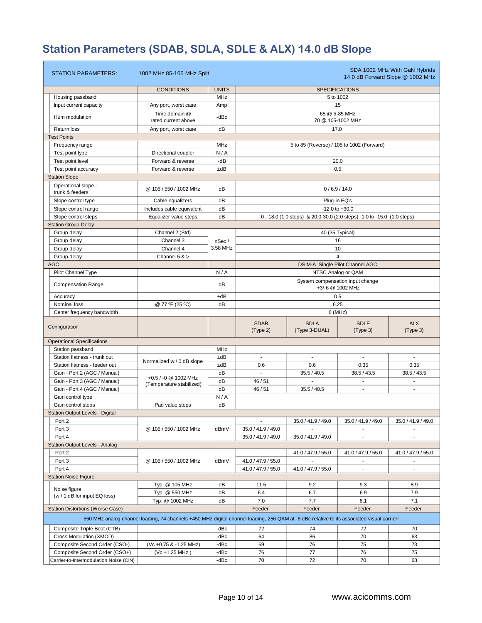# **Station Parameters (SDAB, SDLA, SDLE & ALX) 14.0 dB Slope**

| <b>STATION PARAMETERS:</b>                   | 1002 MHz 85-105 MHz Split                                                                                                                  |              |                                                       |                                                                        |                                                       | SDA 1002 MHz With GaN Hybrids<br>14.0 dB Forward Slope @ 1002 MHz |  |  |  |
|----------------------------------------------|--------------------------------------------------------------------------------------------------------------------------------------------|--------------|-------------------------------------------------------|------------------------------------------------------------------------|-------------------------------------------------------|-------------------------------------------------------------------|--|--|--|
|                                              | <b>CONDITIONS</b>                                                                                                                          | <b>UNITS</b> | <b>SPECIFICATIONS</b>                                 |                                                                        |                                                       |                                                                   |  |  |  |
| Housing passband                             |                                                                                                                                            | MHz          |                                                       |                                                                        | 5 to 1002                                             |                                                                   |  |  |  |
| Input current capacity                       | Any port, worst case                                                                                                                       | Amp          |                                                       |                                                                        | 15                                                    |                                                                   |  |  |  |
| Hum modulation                               | Time domain @<br>rated current above                                                                                                       | -dBc         | 65 @ 5-85 MHz<br>70 @ 105-1002 MHz                    |                                                                        |                                                       |                                                                   |  |  |  |
| Return loss                                  | Any port, worst case                                                                                                                       | dB           |                                                       | 17.0                                                                   |                                                       |                                                                   |  |  |  |
| <b>Test Points</b>                           |                                                                                                                                            |              |                                                       |                                                                        |                                                       |                                                                   |  |  |  |
| Frequency range                              |                                                                                                                                            | <b>MHz</b>   |                                                       | 5 to 85 (Reverse) / 105 to 1002 (Forward)                              |                                                       |                                                                   |  |  |  |
| Test point type                              | Directional coupler                                                                                                                        | N/A          |                                                       |                                                                        |                                                       |                                                                   |  |  |  |
| Test point level                             | Forward & reverse                                                                                                                          | $-dB$        |                                                       |                                                                        | 20.0                                                  |                                                                   |  |  |  |
| Test point accuracy                          | Forward & reverse                                                                                                                          | ±dB          |                                                       |                                                                        | 0.5                                                   |                                                                   |  |  |  |
| <b>Station Slope</b>                         |                                                                                                                                            |              |                                                       |                                                                        |                                                       |                                                                   |  |  |  |
| Operational slope -                          |                                                                                                                                            |              |                                                       |                                                                        |                                                       |                                                                   |  |  |  |
| trunk & feeders                              | @ 105 / 550 / 1002 MHz                                                                                                                     | dВ           |                                                       |                                                                        | 0/6.9/14.0                                            |                                                                   |  |  |  |
| Slope control type                           | Cable equalizers                                                                                                                           | dB           |                                                       |                                                                        | Plug-in EQ's                                          |                                                                   |  |  |  |
| Slope control range                          | Includes cable equivalent                                                                                                                  | dB           |                                                       |                                                                        | $-12.0$ to $+30.0$                                    |                                                                   |  |  |  |
| Slope control steps                          | Equalizer value steps                                                                                                                      | dB           |                                                       | 0 - 18.0 (1.0 steps) & 20.0-30.0 (2.0 steps) -1.0 to -15.0 (1.0 steps) |                                                       |                                                                   |  |  |  |
| <b>Station Group Delay</b>                   |                                                                                                                                            |              |                                                       |                                                                        |                                                       |                                                                   |  |  |  |
| Group delay                                  | Channel 2 (Std)                                                                                                                            |              |                                                       |                                                                        | 40 (35 Typical)                                       |                                                                   |  |  |  |
| Group delay                                  | Channel 3                                                                                                                                  | nSec/        |                                                       |                                                                        | 16                                                    |                                                                   |  |  |  |
| Group delay                                  | Channel 4                                                                                                                                  | 3.58 MHz     |                                                       |                                                                        | 10                                                    |                                                                   |  |  |  |
| Group delay                                  | Channel $5 >$                                                                                                                              |              |                                                       |                                                                        | $\overline{\mathbf{A}}$                               |                                                                   |  |  |  |
| <b>AGC</b>                                   |                                                                                                                                            |              |                                                       |                                                                        | DSIM-A Single Pilot Channel AGC<br>NTSC Analog or QAM |                                                                   |  |  |  |
| Pilot Channel Type                           |                                                                                                                                            | N/A          |                                                       |                                                                        |                                                       |                                                                   |  |  |  |
| <b>Compensation Range</b>                    |                                                                                                                                            | dВ           | System compensation input change<br>$+3/6$ @ 1002 MHz |                                                                        |                                                       |                                                                   |  |  |  |
| Accuracy                                     |                                                                                                                                            | ±dB          | 0.5                                                   |                                                                        |                                                       |                                                                   |  |  |  |
| Nominal loss                                 | @ 77 ºF (25 °C)                                                                                                                            | dB           | 6.25                                                  |                                                                        |                                                       |                                                                   |  |  |  |
| Center frequency bandwidth                   |                                                                                                                                            |              | 6(MHz)                                                |                                                                        |                                                       |                                                                   |  |  |  |
| Configuration                                |                                                                                                                                            |              | <b>SDAB</b><br>(Type 2)                               | <b>SDLA</b><br>(Type 3-DUAL)                                           | <b>SDLE</b><br>(Type 3)                               | <b>ALX</b><br>(Type 3)                                            |  |  |  |
| <b>Operational Specifications</b>            |                                                                                                                                            |              |                                                       |                                                                        |                                                       |                                                                   |  |  |  |
| Station passband                             |                                                                                                                                            | <b>MHz</b>   |                                                       |                                                                        |                                                       |                                                                   |  |  |  |
| Station flatness - trunk out                 |                                                                                                                                            | ±dB          | $\mathbf{r}$                                          | $\sim$                                                                 | $\sim$                                                | $\sim$                                                            |  |  |  |
| Station flatness - feeder out                | Normalized w / 0 dB slope                                                                                                                  | ±dB          | 0.6                                                   | 0.6                                                                    | 0.35                                                  | 0.35                                                              |  |  |  |
| Gain - Port 2 (AGC / Manual)                 |                                                                                                                                            | dB           |                                                       | 35.5 / 40.5                                                            | 38.5 / 43.5                                           | 38.5 / 43.5                                                       |  |  |  |
| Gain - Port 3 (AGC / Manual)                 | +0.5 / -0 @ 1002 MHz<br>(Temperature stabilized)                                                                                           | dB           | 46 / 51                                               |                                                                        |                                                       |                                                                   |  |  |  |
| Gain - Port 4 (AGC / Manual)                 |                                                                                                                                            | dB           | 46 / 51                                               | 35.5 / 40.5                                                            | $\blacksquare$                                        |                                                                   |  |  |  |
| Gain control type                            |                                                                                                                                            | N/A          |                                                       |                                                                        |                                                       |                                                                   |  |  |  |
| Gain control steps                           | Pad value steps                                                                                                                            | dB           |                                                       |                                                                        |                                                       |                                                                   |  |  |  |
| <b>Station Output Levels - Digital</b>       |                                                                                                                                            |              |                                                       |                                                                        |                                                       |                                                                   |  |  |  |
| Port 2                                       |                                                                                                                                            |              | $\blacksquare$                                        | 35.0 / 41.9 / 49.0                                                     | 35.0 / 41.9 / 49.0                                    | 35.0 / 41.9 / 49.0                                                |  |  |  |
| Port 3                                       | @ 105 / 550 / 1002 MHz                                                                                                                     | dBmV         | 35.0 / 41.9 / 49.0                                    |                                                                        |                                                       |                                                                   |  |  |  |
| Port 4                                       |                                                                                                                                            |              | 35.0 / 41.9 / 49.0                                    | 35.0 / 41.9 / 49.0                                                     | $\sim$                                                |                                                                   |  |  |  |
| <b>Station Output Levels - Analog</b>        |                                                                                                                                            |              |                                                       |                                                                        |                                                       |                                                                   |  |  |  |
| Port 2                                       |                                                                                                                                            |              | $\overline{\phantom{a}}$                              | 41.0 / 47.9 / 55.0                                                     | 41.0 / 47.9 / 55.0                                    | 41.0 / 47.9 / 55.0                                                |  |  |  |
| Port 3                                       | @ 105 / 550 / 1002 MHz                                                                                                                     | dBmV         | 41.0 / 47.9 / 55.0                                    | $\overline{\phantom{a}}$                                               | $\blacksquare$                                        | $\sim$                                                            |  |  |  |
| Port 4                                       |                                                                                                                                            |              | 41.0 / 47.9 / 55.0                                    | 41.0 / 47.9 / 55.0                                                     | $\mathcal{L}_{\mathcal{A}}$                           | $\mathcal{L}_{\mathcal{A}}$                                       |  |  |  |
| <b>Station Noise Figure</b>                  |                                                                                                                                            |              |                                                       |                                                                        |                                                       |                                                                   |  |  |  |
|                                              | Typ. @ 105 MHz                                                                                                                             | dB           | 11.5                                                  | 9.2                                                                    | 9.3                                                   | 8.9                                                               |  |  |  |
| Noise figure<br>(w / 1 dB for input EQ loss) | Typ. @ 550 MHz                                                                                                                             | dB           | 6.4                                                   | 6.7                                                                    | 6.9                                                   | 7.9                                                               |  |  |  |
|                                              | Typ. @ 1002 MHz                                                                                                                            | dB           | 7.0                                                   | 7.7                                                                    | 8.1                                                   | 7.1                                                               |  |  |  |
| <b>Station Distortions (Worse Case)</b>      |                                                                                                                                            |              | Feeder                                                | Feeder                                                                 | Feeder                                                | Feeder                                                            |  |  |  |
|                                              | 550 MHz analog channel loading, 74 channels +450 MHz digital channel loading, 256 QAM at -6 dBc relative to its associated visual carrierr |              |                                                       |                                                                        |                                                       |                                                                   |  |  |  |
| Composite Triple Beat (CTB)                  |                                                                                                                                            | -dBc         | 72                                                    | 74                                                                     | 72                                                    | 70                                                                |  |  |  |
| Cross Modulation (XMOD)                      |                                                                                                                                            | -dBc         | 64                                                    | 86                                                                     | 70                                                    | 63                                                                |  |  |  |
| Composite Second Order (CSO-)                | (Vc +0.75 & -1.25 MHz)                                                                                                                     | -dBc         | 69                                                    | 76                                                                     | 75                                                    | 73                                                                |  |  |  |
| Composite Second Order (CSO+)                | (Vc +1.25 MHz)                                                                                                                             | -dBc         | 76                                                    | 77                                                                     | 76                                                    | 75                                                                |  |  |  |
| Carrier-to-Intermodulation Noise (CIN)       |                                                                                                                                            | -dBc         | 70                                                    | 72                                                                     | 70                                                    | 68                                                                |  |  |  |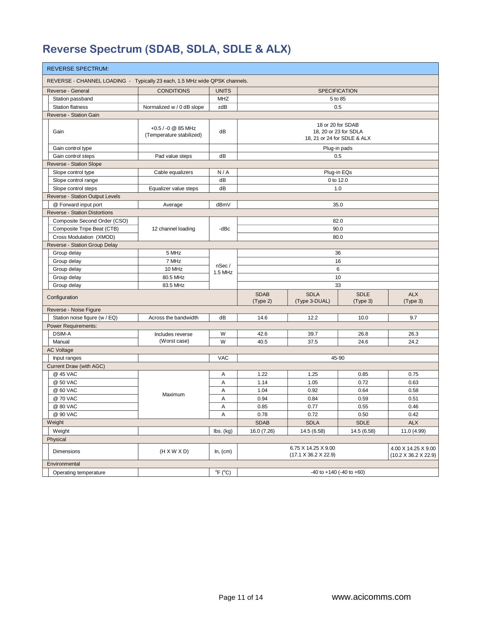# **Reverse Spectrum (SDAB, SDLA, SDLE & ALX)**

| <b>REVERSE SPECTRUM:</b>                                                   |                                                |                                         |                                                                           |                                                         |                         |                                             |  |  |  |
|----------------------------------------------------------------------------|------------------------------------------------|-----------------------------------------|---------------------------------------------------------------------------|---------------------------------------------------------|-------------------------|---------------------------------------------|--|--|--|
| REVERSE - CHANNEL LOADING - Typically 23 each, 1.5 MHz wide QPSK channels. |                                                |                                         |                                                                           |                                                         |                         |                                             |  |  |  |
| Reverse - General                                                          | <b>CONDITIONS</b>                              | <b>UNITS</b>                            |                                                                           | <b>SPECIFICATION</b>                                    |                         |                                             |  |  |  |
| Station passband                                                           |                                                | <b>MHZ</b>                              |                                                                           |                                                         | 5 to 85                 |                                             |  |  |  |
| <b>Station flatness</b>                                                    | Normalized w / 0 dB slope                      | ±dB                                     |                                                                           | 0.5                                                     |                         |                                             |  |  |  |
| Reverse - Station Gain                                                     |                                                |                                         |                                                                           |                                                         |                         |                                             |  |  |  |
| Gain                                                                       | +0.5 / -0 @ 85 MHz<br>(Temperature stabilized) | dB                                      | 18 or 20 for SDAB<br>18, 20 or 23 for SDLA<br>18, 21 or 24 for SDLE & ALX |                                                         |                         |                                             |  |  |  |
| Gain control type                                                          |                                                |                                         |                                                                           |                                                         | Plug-in pads            |                                             |  |  |  |
| Gain control steps                                                         | Pad value steps                                | dB                                      |                                                                           | 0.5                                                     |                         |                                             |  |  |  |
| Reverse - Station Slope                                                    |                                                |                                         |                                                                           |                                                         |                         |                                             |  |  |  |
| Slope control type                                                         | Cable equalizers                               | N/A                                     |                                                                           | Plug-in EQs                                             |                         |                                             |  |  |  |
| Slope control range                                                        |                                                | dB                                      |                                                                           | 0 to 12.0                                               |                         |                                             |  |  |  |
| Slope control steps                                                        | Equalizer value steps                          | dB                                      |                                                                           | 1.0                                                     |                         |                                             |  |  |  |
| Reverse - Station Output Levels                                            |                                                |                                         |                                                                           |                                                         |                         |                                             |  |  |  |
| @ Forward input port                                                       | Average                                        | dBmV                                    |                                                                           |                                                         | 35.0                    |                                             |  |  |  |
| <b>Reverse - Station Distortions</b>                                       |                                                |                                         |                                                                           |                                                         |                         |                                             |  |  |  |
| Composite Second Order (CSO)                                               |                                                |                                         |                                                                           | 82.0                                                    |                         |                                             |  |  |  |
| Composite Tripe Beat (CTB)                                                 | 12 channel loading                             | -dBc                                    |                                                                           |                                                         | 90.0                    |                                             |  |  |  |
| Cross Modulation (XMOD)                                                    |                                                |                                         |                                                                           |                                                         |                         |                                             |  |  |  |
| Reverse - Station Group Delay                                              |                                                |                                         |                                                                           |                                                         |                         |                                             |  |  |  |
| Group delay                                                                | 5 MHz                                          |                                         | 36                                                                        |                                                         |                         |                                             |  |  |  |
| Group delay                                                                | 7 MHz                                          | nSec/<br>1.5 MHz                        |                                                                           | 16                                                      |                         |                                             |  |  |  |
| Group delay                                                                | 10 MHz                                         |                                         |                                                                           | 6                                                       |                         |                                             |  |  |  |
| Group delay                                                                | 80.5 MHz                                       |                                         |                                                                           | 10                                                      |                         |                                             |  |  |  |
| Group delay                                                                | 83.5 MHz                                       |                                         | 33                                                                        |                                                         |                         |                                             |  |  |  |
| Configuration                                                              |                                                |                                         | <b>SDAB</b><br>(Type 2)                                                   | <b>SDLA</b><br>(Type 3-DUAL)                            | <b>SDLE</b><br>(Type 3) | <b>ALX</b><br>(Type 3)                      |  |  |  |
| Reverse - Noise Figure                                                     |                                                |                                         |                                                                           |                                                         |                         |                                             |  |  |  |
| Station noise figure (w / EQ)                                              | Across the bandwidth                           | dB                                      | 14.6                                                                      | 12.2                                                    | 10.0                    | 9.7                                         |  |  |  |
| Power Requirements:                                                        |                                                |                                         |                                                                           |                                                         |                         |                                             |  |  |  |
| DSIM-A                                                                     | Includes reverse                               | W                                       | 42.6                                                                      | 39.7                                                    | 26.8                    | 26.3                                        |  |  |  |
| Manual                                                                     | (Worst case)                                   | W                                       | 40.5                                                                      | 37.5                                                    | 24.6                    | 24.2                                        |  |  |  |
| <b>AC Voltage</b>                                                          |                                                |                                         |                                                                           |                                                         |                         |                                             |  |  |  |
| Input ranges                                                               |                                                | <b>VAC</b>                              |                                                                           | 45-90                                                   |                         |                                             |  |  |  |
| Current Draw (with AGC)                                                    |                                                |                                         |                                                                           |                                                         |                         |                                             |  |  |  |
| @ 45 VAC                                                                   |                                                | Α                                       | 1.22                                                                      | 1.25                                                    | 0.85                    | 0.75                                        |  |  |  |
| @ 50 VAC                                                                   |                                                | Α                                       | 1.14                                                                      | 1.05                                                    | 0.72                    | 0.63                                        |  |  |  |
| @ 60 VAC                                                                   | Maximum                                        | Α                                       | 1.04                                                                      | 0.92                                                    | 0.64                    | 0.58                                        |  |  |  |
| @ 70 VAC                                                                   |                                                | Α                                       | 0.94                                                                      | 0.84                                                    | 0.59                    | 0.51                                        |  |  |  |
| @ 80 VAC                                                                   |                                                | Α                                       | 0.85                                                                      | 0.77                                                    | 0.55                    | 0.46                                        |  |  |  |
| @ 90 VAC                                                                   |                                                | A                                       | 0.78                                                                      | 0.72                                                    | $0.50\,$                | 0.42                                        |  |  |  |
| Weight                                                                     |                                                |                                         | <b>SDAB</b>                                                               | <b>SDLA</b>                                             | <b>SDLE</b>             | <b>ALX</b>                                  |  |  |  |
| Weight                                                                     |                                                | $\mathsf{lbs.}\left(\mathsf{kg}\right)$ | 16.0 (7.26)                                                               | 14.5 (6.58)                                             | 14.5 (6.58)             | 11.0 (4.99)                                 |  |  |  |
| Physical                                                                   |                                                |                                         |                                                                           |                                                         |                         |                                             |  |  |  |
| Dimensions                                                                 | $(H \times W \times D)$                        | In, (cm)                                |                                                                           | 6.75 X 14.25 X 9.00<br>$(17.1 \times 36.2 \times 22.9)$ |                         | 4.00 X 14.25 X 9.00<br>(10.2 X 36.2 X 22.9) |  |  |  |
| Environmental                                                              |                                                |                                         |                                                                           |                                                         |                         |                                             |  |  |  |
| Operating temperature                                                      |                                                | $^{\circ}$ F ( $^{\circ}$ C)            |                                                                           | $-40$ to $+140$ ( $-40$ to $+60$ )                      |                         |                                             |  |  |  |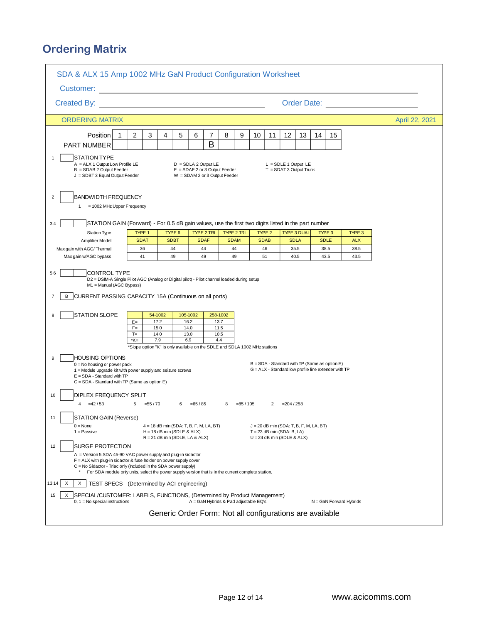## **Ordering Matrix**

|                                                                                                                                                                                                                                                                                                                          | SDA & ALX 15 Amp 1002 MHz GaN Product Configuration Worksheet |                                                                            |                                                                                            |                                         |                                       |                       |                |                                                                           |    |                       |                               |                |  |
|--------------------------------------------------------------------------------------------------------------------------------------------------------------------------------------------------------------------------------------------------------------------------------------------------------------------------|---------------------------------------------------------------|----------------------------------------------------------------------------|--------------------------------------------------------------------------------------------|-----------------------------------------|---------------------------------------|-----------------------|----------------|---------------------------------------------------------------------------|----|-----------------------|-------------------------------|----------------|--|
|                                                                                                                                                                                                                                                                                                                          |                                                               |                                                                            |                                                                                            |                                         |                                       |                       |                |                                                                           |    |                       |                               |                |  |
| Customer: <u>_________________</u>                                                                                                                                                                                                                                                                                       |                                                               |                                                                            |                                                                                            |                                         |                                       |                       |                |                                                                           |    |                       |                               |                |  |
| Created By:                                                                                                                                                                                                                                                                                                              |                                                               |                                                                            |                                                                                            |                                         |                                       |                       |                |                                                                           |    |                       | Order Date: <u>__________</u> |                |  |
| <b>ORDERING MATRIX</b>                                                                                                                                                                                                                                                                                                   |                                                               |                                                                            |                                                                                            |                                         |                                       |                       |                |                                                                           |    |                       |                               | April 22, 2021 |  |
| Position<br>1                                                                                                                                                                                                                                                                                                            | $\overline{2}$<br>3                                           | 4<br>5                                                                     | 6                                                                                          | 7                                       | 8<br>9                                | 10                    | 11             | 12<br>13                                                                  | 14 | 15                    |                               |                |  |
| PART NUMBER                                                                                                                                                                                                                                                                                                              |                                                               |                                                                            |                                                                                            | B                                       |                                       |                       |                |                                                                           |    |                       |                               |                |  |
| <b>STATION TYPE</b><br>$\overline{1}$<br>A = ALX 1 Output Low Profile LE<br>B = SDAB 2 Output Feeder<br>J = SDBT 3 Equal Output Feeder                                                                                                                                                                                   |                                                               |                                                                            | $D = SDLA 2 Output LE$<br>$F = SDAF 2$ or 3 Output Feeder<br>W = SDAM 2 or 3 Output Feeder |                                         |                                       |                       |                | $L = SDEE 1$ Output LE<br>$T =$ SDAT 3 Output Trunk                       |    |                       |                               |                |  |
| $\overline{2}$<br><b>BANDWIDTH FREQUENCY</b><br>1 = 1002 MHz Upper Frequency                                                                                                                                                                                                                                             |                                                               |                                                                            |                                                                                            |                                         |                                       |                       |                |                                                                           |    |                       |                               |                |  |
| STATION GAIN (Forward) - For 0.5 dB gain values, use the first two digits listed in the part number<br>3,4                                                                                                                                                                                                               |                                                               |                                                                            |                                                                                            |                                         |                                       |                       |                |                                                                           |    |                       |                               |                |  |
| <b>Station Type</b><br>Amplifier Model                                                                                                                                                                                                                                                                                   | TYPE 1<br><b>SDAT</b>                                         | TYPE 6<br><b>SDBT</b>                                                      |                                                                                            | TYPE 2 TRI<br><b>SDAF</b>               | TYPE 2 TRI<br><b>SDAM</b>             | TYPE 2<br><b>SDAB</b> |                | <b>TYPE 3 DUAL</b><br><b>SDLA</b>                                         |    | TYPE 3<br><b>SDLE</b> | TYPE 3<br><b>ALX</b>          |                |  |
| Max gain with AGC/Thermal                                                                                                                                                                                                                                                                                                | 36                                                            | 44                                                                         |                                                                                            | 44                                      | 44                                    | 46                    |                | 35.5                                                                      |    | 38.5                  | 38.5                          |                |  |
| Max gain w/AGC bypass                                                                                                                                                                                                                                                                                                    | 41                                                            | 49                                                                         |                                                                                            | 49                                      | 49                                    | 51                    |                | 40.5                                                                      |    | 43.5                  | 43.5                          |                |  |
| CURRENT PASSING CAPACITY 15A (Continuous on all ports)<br>B<br>$\overline{7}$<br><b>STATION SLOPE</b><br>8                                                                                                                                                                                                               | $E =$<br>$F =$<br>$T =$<br>*K=                                | 54-1002<br>17.2<br>15.0<br>14.0<br>7.9                                     | 105-1002<br>16.2<br>14.0<br>13.0<br>6.9                                                    | 258-1002<br>13.7<br>11.5<br>10.5<br>4.4 |                                       |                       |                |                                                                           |    |                       |                               |                |  |
|                                                                                                                                                                                                                                                                                                                          |                                                               | *Slope option "K" is only available on the SDLE and SDLA 1002 MHz stations |                                                                                            |                                         |                                       |                       |                |                                                                           |    |                       |                               |                |  |
| <b>HOUSING OPTIONS</b><br>9<br>B = SDA - Standard with TP (Same as option E)<br>$0 = No$ housing or power pack<br>G = ALX - Standard low profile line extender with TP<br>1 = Module upgrade kit with power supply and seizure screws<br>$E = SDA - Standard with TP$<br>$C = SDA - Standard$ with TP (Same as option E) |                                                               |                                                                            |                                                                                            |                                         |                                       |                       |                |                                                                           |    |                       |                               |                |  |
| DIPLEX FREQUENCY SPLIT<br>10                                                                                                                                                                                                                                                                                             |                                                               |                                                                            |                                                                                            |                                         |                                       |                       |                |                                                                           |    |                       |                               |                |  |
| $=42/53$<br>$\overline{\mathbf{A}}$                                                                                                                                                                                                                                                                                      | 5<br>$= 55/70$                                                | 6                                                                          | $=65/85$                                                                                   |                                         | $= 85/105$<br>8                       |                       | $\overline{2}$ | $= 204 / 258$                                                             |    |                       |                               |                |  |
| STATION GAIN (Reverse)<br>11                                                                                                                                                                                                                                                                                             |                                                               |                                                                            |                                                                                            |                                         |                                       |                       |                |                                                                           |    |                       |                               |                |  |
| $0 = \text{None}$<br>$1 =$ Passive                                                                                                                                                                                                                                                                                       |                                                               | $4 = 18$ dB min (SDA: T, B, F, M, LA, BT)<br>$H = 18$ dB min (SDLE & ALX)  |                                                                                            |                                         |                                       |                       |                | $J = 20$ dB min (SDA: T, B, F, M, LA, BT)<br>$T = 23$ dB min (SDA: B, LA) |    |                       |                               |                |  |
| <b>SURGE PROTECTION</b><br>12                                                                                                                                                                                                                                                                                            |                                                               | $R = 21$ dB min (SDLE, LA & ALX)                                           |                                                                                            |                                         |                                       |                       |                | $U = 24$ dB min (SDLE & ALX)                                              |    |                       |                               |                |  |
| A = Version 5 SDA 45-90 VAC power supply and plug-in sidactor<br>$F = ALX$ with plug-in sidactor & fuse holder on power supply cover<br>C = No Sidactor - Triac only (Included in the SDA power supply)<br>For SDA module only units, select the power supply version that is in the current complete station.           |                                                               |                                                                            |                                                                                            |                                         |                                       |                       |                |                                                                           |    |                       |                               |                |  |
| 13,14<br>Χ<br>X<br>TEST SPECS (Determined by ACI engineering)                                                                                                                                                                                                                                                            |                                                               |                                                                            |                                                                                            |                                         |                                       |                       |                |                                                                           |    |                       |                               |                |  |
| SPECIAL/CUSTOMER: LABELS, FUNCTIONS, (Determined by Product Management)<br>15<br>X<br>$0, 1 = No$ special instructions                                                                                                                                                                                                   |                                                               |                                                                            |                                                                                            |                                         | A = GaN Hybrids & Pad adjustable EQ's |                       |                |                                                                           |    |                       | $N =$ GaN Forward Hybrids     |                |  |
| Generic Order Form: Not all configurations are available                                                                                                                                                                                                                                                                 |                                                               |                                                                            |                                                                                            |                                         |                                       |                       |                |                                                                           |    |                       |                               |                |  |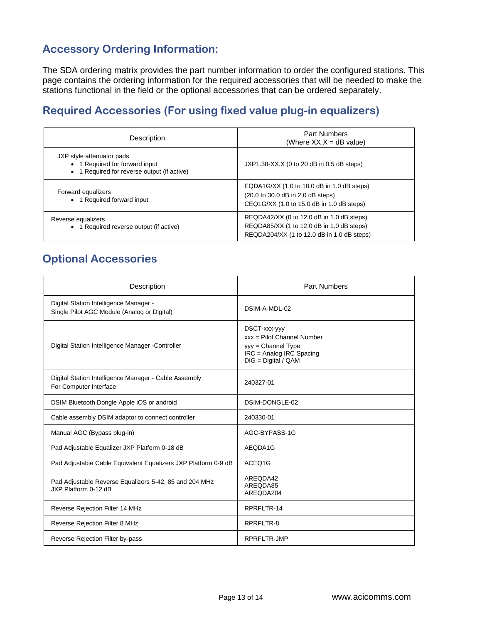### **Accessory Ordering Information:**

The SDA ordering matrix provides the part number information to order the configured stations. This page contains the ordering information for the required accessories that will be needed to make the stations functional in the field or the optional accessories that can be ordered separately.

### **Required Accessories (For using fixed value plug-in equalizers)**

| Description                                                                                                | <b>Part Numbers</b><br>(Where $XX.X = dB$ value)                                                                                     |
|------------------------------------------------------------------------------------------------------------|--------------------------------------------------------------------------------------------------------------------------------------|
| JXP style attenuator pads<br>• 1 Required for forward input<br>• 1 Required for reverse output (if active) | JXP1.38-XX.X (0 to 20 dB in 0.5 dB steps)                                                                                            |
| Forward equalizers<br>• 1 Required forward input                                                           | EQDA1G/XX (1.0 to 18.0 dB in 1.0 dB steps)<br>(20.0 to 30.0 dB in 2.0 dB steps)<br>CEQ1G/XX (1.0 to 15.0 dB in 1.0 dB steps)         |
| Reverse equalizers<br>• 1 Required reverse output (if active)                                              | REQDA42/XX (0 to 12.0 dB in 1.0 dB steps)<br>REQDA85/XX (1 to 12.0 dB in 1.0 dB steps)<br>REQDA204/XX (1 to 12.0 dB in 1.0 dB steps) |

### **Optional Accessories**

| Description                                                                           | <b>Part Numbers</b>                                                                                                     |
|---------------------------------------------------------------------------------------|-------------------------------------------------------------------------------------------------------------------------|
| Digital Station Intelligence Manager -<br>Single Pilot AGC Module (Analog or Digital) | DSIM-A-MDI-02                                                                                                           |
| Digital Station Intelligence Manager - Controller                                     | DSCT-xxx-yyy<br>$xxx =$ Pilot Channel Number<br>yyy = Channel Type<br>IRC = Analog IRC Spacing<br>$DIG = Digital / QAM$ |
| Digital Station Intelligence Manager - Cable Assembly<br>For Computer Interface       | 240327-01                                                                                                               |
| DSIM Bluetooth Dongle Apple iOS or android                                            | DSIM-DONGLE-02                                                                                                          |
| Cable assembly DSIM adaptor to connect controller                                     | 240330-01                                                                                                               |
| Manual AGC (Bypass plug-in)                                                           | AGC-BYPASS-1G                                                                                                           |
| Pad Adjustable Equalizer JXP Platform 0-18 dB                                         | AEQDA1G                                                                                                                 |
| Pad Adjustable Cable Equivalent Equalizers JXP Platform 0-9 dB                        | ACEQ1G                                                                                                                  |
| Pad Adjustable Reverse Equalizers 5-42, 85 and 204 MHz<br>JXP Platform 0-12 dB        | AREQDA42<br>AREODA85<br>AREQDA204                                                                                       |
| Reverse Rejection Filter 14 MHz                                                       | RPRFLTR-14                                                                                                              |
| Reverse Rejection Filter 8 MHz                                                        | RPRFLTR-8                                                                                                               |
| Reverse Rejection Filter by-pass                                                      | <b>RPRFLTR-JMP</b>                                                                                                      |